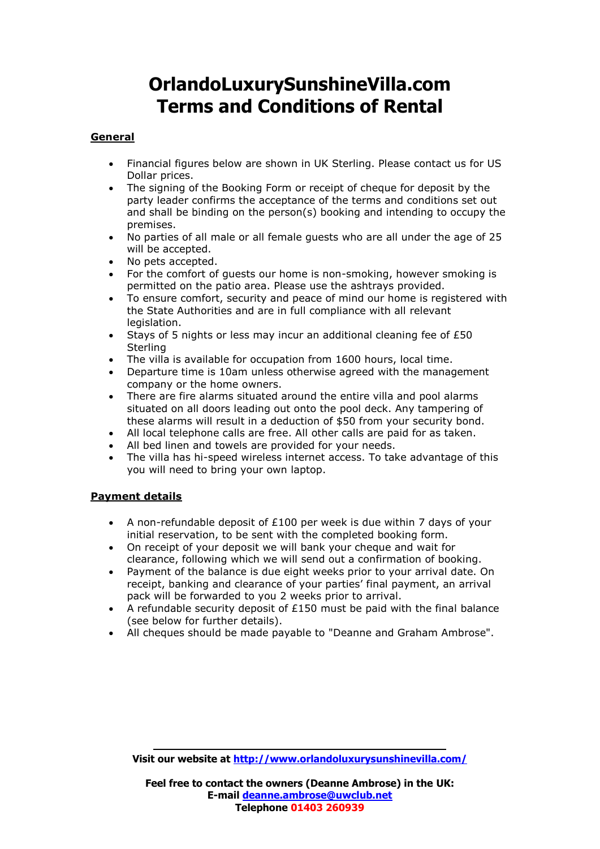# **OrlandoLuxurySunshineVilla.com Terms and Conditions of Rental**

#### **General**

- Financial figures below are shown in UK Sterling. Please contact us for US Dollar prices.
- The signing of the Booking Form or receipt of cheque for deposit by the party leader confirms the acceptance of the terms and conditions set out and shall be binding on the person(s) booking and intending to occupy the premises.
- No parties of all male or all female guests who are all under the age of 25 will be accepted.
- No pets accepted.
- For the comfort of guests our home is non-smoking, however smoking is permitted on the patio area. Please use the ashtrays provided.
- To ensure comfort, security and peace of mind our home is registered with the State Authorities and are in full compliance with all relevant legislation.
- Stays of 5 nights or less may incur an additional cleaning fee of  $E50$ **Sterling**
- The villa is available for occupation from 1600 hours, local time.
- Departure time is 10am unless otherwise agreed with the management company or the home owners.
- There are fire alarms situated around the entire villa and pool alarms situated on all doors leading out onto the pool deck. Any tampering of these alarms will result in a deduction of \$50 from your security bond.
- All local telephone calls are free. All other calls are paid for as taken.
- All bed linen and towels are provided for your needs.
- The villa has hi-speed wireless internet access. To take advantage of this you will need to bring your own laptop.

### **Payment details**

- A non-refundable deposit of  $£100$  per week is due within 7 days of your initial reservation, to be sent with the completed booking form.
- On receipt of your deposit we will bank your cheque and wait for clearance, following which we will send out a confirmation of booking.
- Payment of the balance is due eight weeks prior to your arrival date. On receipt, banking and clearance of your parties' final payment, an arrival pack will be forwarded to you 2 weeks prior to arrival.
- A refundable security deposit of  $£150$  must be paid with the final balance (see below for further details).
- All cheques should be made payable to "Deanne and Graham Ambrose".

**Visit our website at<http://www.orlandoluxurysunshinevilla.com/>**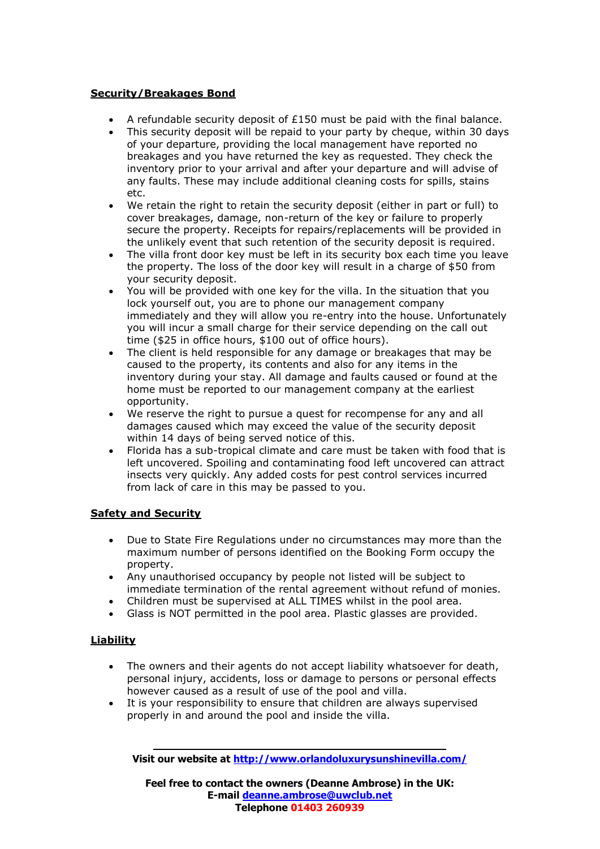### **Security/Breakages Bond**

- A refundable security deposit of  $£150$  must be paid with the final balance.
- This security deposit will be repaid to your party by cheque, within 30 days of your departure, providing the local management have reported no breakages and you have returned the key as requested. They check the inventory prior to your arrival and after your departure and will advise of any faults. These may include additional cleaning costs for spills, stains etc.
- We retain the right to retain the security deposit (either in part or full) to cover breakages, damage, non-return of the key or failure to properly secure the property. Receipts for repairs/replacements will be provided in the unlikely event that such retention of the security deposit is required.
- The villa front door key must be left in its security box each time you leave the property. The loss of the door key will result in a charge of \$50 from your security deposit.
- You will be provided with one key for the villa. In the situation that you lock yourself out, you are to phone our management company immediately and they will allow you re-entry into the house. Unfortunately you will incur a small charge for their service depending on the call out time (\$25 in office hours, \$100 out of office hours).
- The client is held responsible for any damage or breakages that may be caused to the property, its contents and also for any items in the inventory during your stay. All damage and faults caused or found at the home must be reported to our management company at the earliest opportunity.
- We reserve the right to pursue a quest for recompense for any and all damages caused which may exceed the value of the security deposit within 14 days of being served notice of this.
- Florida has a sub-tropical climate and care must be taken with food that is left uncovered. Spoiling and contaminating food left uncovered can attract insects very quickly. Any added costs for pest control services incurred from lack of care in this may be passed to you.

### **Safety and Security**

- Due to State Fire Regulations under no circumstances may more than the maximum number of persons identified on the Booking Form occupy the property.
- Any unauthorised occupancy by people not listed will be subject to immediate termination of the rental agreement without refund of monies.
- Children must be supervised at ALL TIMES whilst in the pool area.
- Glass is NOT permitted in the pool area. Plastic glasses are provided.

### **Liability**

- The owners and their agents do not accept liability whatsoever for death, personal injury, accidents, loss or damage to persons or personal effects however caused as a result of use of the pool and villa.
- It is your responsibility to ensure that children are always supervised properly in and around the pool and inside the villa.

**Visit our website at<http://www.orlandoluxurysunshinevilla.com/>**

**Feel free to contact the owners (Deanne Ambrose) in the UK: E-mail [deanne.ambrose@uwclub.net](mailto:deanne.ambrose@uwclub.net) Telephone 01403 260939**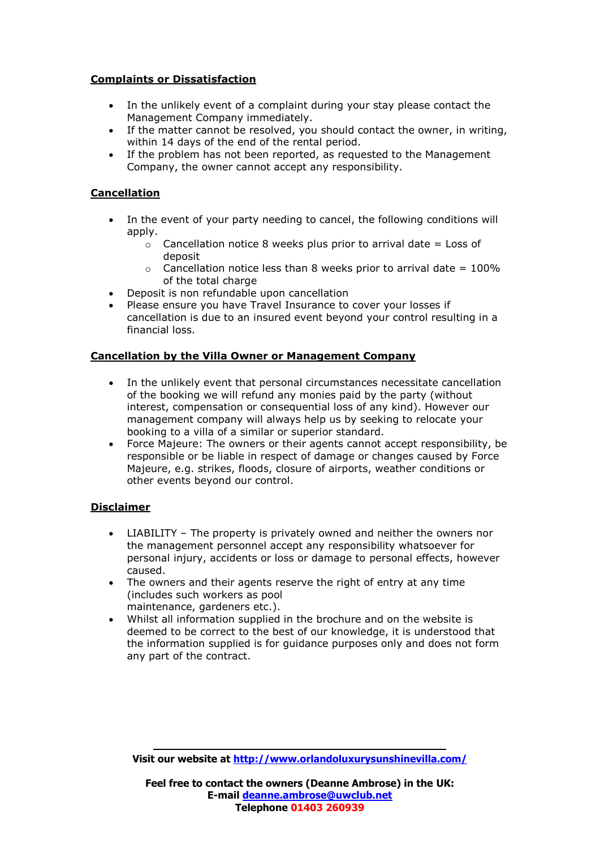### **Complaints or Dissatisfaction**

- In the unlikely event of a complaint during your stay please contact the Management Company immediately.
- If the matter cannot be resolved, you should contact the owner, in writing, within 14 days of the end of the rental period.
- If the problem has not been reported, as requested to the Management Company, the owner cannot accept any responsibility.

## **Cancellation**

- In the event of your party needing to cancel, the following conditions will apply.
	- $\circ$  Cancellation notice 8 weeks plus prior to arrival date = Loss of deposit
	- $\circ$  Cancellation notice less than 8 weeks prior to arrival date = 100% of the total charge
- Deposit is non refundable upon cancellation
- Please ensure you have Travel Insurance to cover your losses if cancellation is due to an insured event beyond your control resulting in a financial loss.

### **Cancellation by the Villa Owner or Management Company**

- In the unlikely event that personal circumstances necessitate cancellation of the booking we will refund any monies paid by the party (without interest, compensation or consequential loss of any kind). However our management company will always help us by seeking to relocate your booking to a villa of a similar or superior standard.
- Force Majeure: The owners or their agents cannot accept responsibility, be responsible or be liable in respect of damage or changes caused by Force Majeure, e.g. strikes, floods, closure of airports, weather conditions or other events beyond our control.

### **Disclaimer**

- LIABILITY The property is privately owned and neither the owners nor the management personnel accept any responsibility whatsoever for personal injury, accidents or loss or damage to personal effects, however caused.
- The owners and their agents reserve the right of entry at any time (includes such workers as pool maintenance, gardeners etc.).
- Whilst all information supplied in the brochure and on the website is deemed to be correct to the best of our knowledge, it is understood that the information supplied is for guidance purposes only and does not form any part of the contract.

**Visit our website at<http://www.orlandoluxurysunshinevilla.com/>**